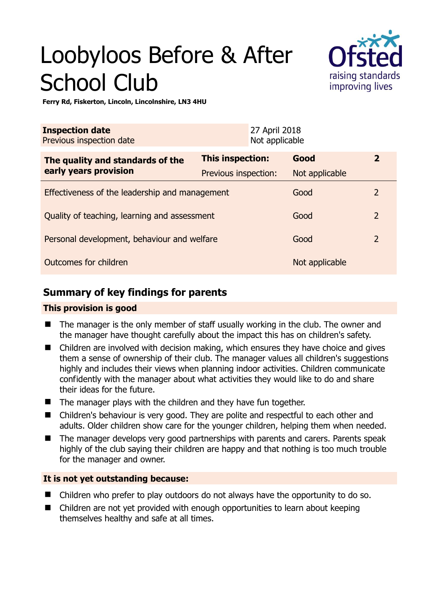# Loobyloos Before & After School Club



**Ferry Rd, Fiskerton, Lincoln, Lincolnshire, LN3 4HU** 

| <b>Inspection date</b><br>Previous inspection date        |                      | 27 April 2018<br>Not applicable |                |                |
|-----------------------------------------------------------|----------------------|---------------------------------|----------------|----------------|
| The quality and standards of the<br>early years provision | This inspection:     |                                 | Good           | $\mathbf{2}$   |
|                                                           | Previous inspection: |                                 | Not applicable |                |
| Effectiveness of the leadership and management            |                      |                                 | Good           | $\overline{2}$ |
| Quality of teaching, learning and assessment              |                      |                                 | Good           | $\overline{2}$ |
| Personal development, behaviour and welfare               |                      |                                 | Good           | $\overline{2}$ |
| Outcomes for children                                     |                      |                                 | Not applicable |                |

# **Summary of key findings for parents**

## **This provision is good**

- The manager is the only member of staff usually working in the club. The owner and the manager have thought carefully about the impact this has on children's safety.
- Children are involved with decision making, which ensures they have choice and gives them a sense of ownership of their club. The manager values all children's suggestions highly and includes their views when planning indoor activities. Children communicate confidently with the manager about what activities they would like to do and share their ideas for the future.
- The manager plays with the children and they have fun together.
- Children's behaviour is very good. They are polite and respectful to each other and adults. Older children show care for the younger children, helping them when needed.
- The manager develops very good partnerships with parents and carers. Parents speak highly of the club saying their children are happy and that nothing is too much trouble for the manager and owner.

## **It is not yet outstanding because:**

- Children who prefer to play outdoors do not always have the opportunity to do so.
- Children are not yet provided with enough opportunities to learn about keeping themselves healthy and safe at all times.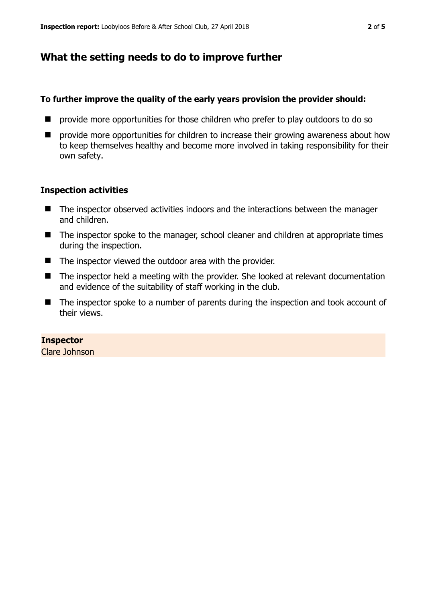# **What the setting needs to do to improve further**

#### **To further improve the quality of the early years provision the provider should:**

- **P** provide more opportunities for those children who prefer to play outdoors to do so
- $\blacksquare$  provide more opportunities for children to increase their growing awareness about how to keep themselves healthy and become more involved in taking responsibility for their own safety.

## **Inspection activities**

- The inspector observed activities indoors and the interactions between the manager and children.
- The inspector spoke to the manager, school cleaner and children at appropriate times during the inspection.
- The inspector viewed the outdoor area with the provider.
- The inspector held a meeting with the provider. She looked at relevant documentation and evidence of the suitability of staff working in the club.
- The inspector spoke to a number of parents during the inspection and took account of their views.

## **Inspector**

Clare Johnson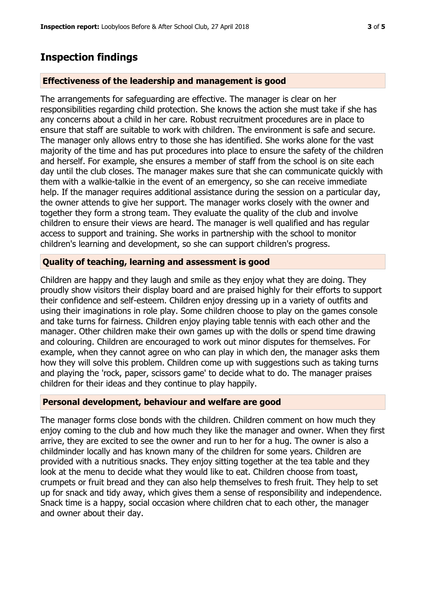# **Inspection findings**

#### **Effectiveness of the leadership and management is good**

The arrangements for safeguarding are effective. The manager is clear on her responsibilities regarding child protection. She knows the action she must take if she has any concerns about a child in her care. Robust recruitment procedures are in place to ensure that staff are suitable to work with children. The environment is safe and secure. The manager only allows entry to those she has identified. She works alone for the vast majority of the time and has put procedures into place to ensure the safety of the children and herself. For example, she ensures a member of staff from the school is on site each day until the club closes. The manager makes sure that she can communicate quickly with them with a walkie-talkie in the event of an emergency, so she can receive immediate help. If the manager requires additional assistance during the session on a particular day, the owner attends to give her support. The manager works closely with the owner and together they form a strong team. They evaluate the quality of the club and involve children to ensure their views are heard. The manager is well qualified and has regular access to support and training. She works in partnership with the school to monitor children's learning and development, so she can support children's progress.

#### **Quality of teaching, learning and assessment is good**

Children are happy and they laugh and smile as they enjoy what they are doing. They proudly show visitors their display board and are praised highly for their efforts to support their confidence and self-esteem. Children enjoy dressing up in a variety of outfits and using their imaginations in role play. Some children choose to play on the games console and take turns for fairness. Children enjoy playing table tennis with each other and the manager. Other children make their own games up with the dolls or spend time drawing and colouring. Children are encouraged to work out minor disputes for themselves. For example, when they cannot agree on who can play in which den, the manager asks them how they will solve this problem. Children come up with suggestions such as taking turns and playing the 'rock, paper, scissors game' to decide what to do. The manager praises children for their ideas and they continue to play happily.

## **Personal development, behaviour and welfare are good**

The manager forms close bonds with the children. Children comment on how much they enjoy coming to the club and how much they like the manager and owner. When they first arrive, they are excited to see the owner and run to her for a hug. The owner is also a childminder locally and has known many of the children for some years. Children are provided with a nutritious snacks. They enjoy sitting together at the tea table and they look at the menu to decide what they would like to eat. Children choose from toast, crumpets or fruit bread and they can also help themselves to fresh fruit. They help to set up for snack and tidy away, which gives them a sense of responsibility and independence. Snack time is a happy, social occasion where children chat to each other, the manager and owner about their day.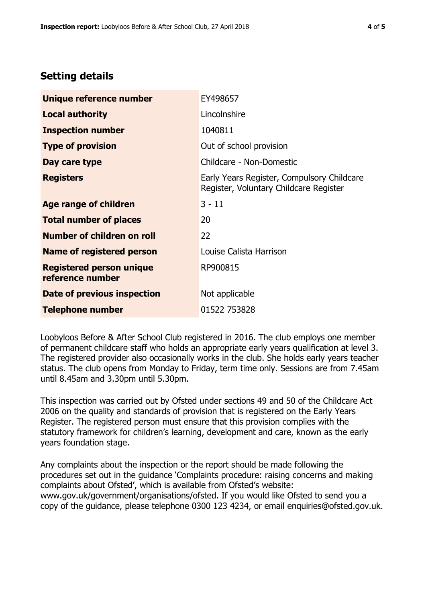# **Setting details**

| Unique reference number                             | EY498657                                                                             |  |
|-----------------------------------------------------|--------------------------------------------------------------------------------------|--|
| <b>Local authority</b>                              | Lincolnshire                                                                         |  |
| <b>Inspection number</b>                            | 1040811                                                                              |  |
| <b>Type of provision</b>                            | Out of school provision                                                              |  |
| Day care type                                       | Childcare - Non-Domestic                                                             |  |
| <b>Registers</b>                                    | Early Years Register, Compulsory Childcare<br>Register, Voluntary Childcare Register |  |
| Age range of children                               | $3 - 11$                                                                             |  |
| <b>Total number of places</b>                       | 20                                                                                   |  |
| Number of children on roll                          | 22                                                                                   |  |
| Name of registered person                           | Louise Calista Harrison                                                              |  |
| <b>Registered person unique</b><br>reference number | RP900815                                                                             |  |
| <b>Date of previous inspection</b>                  | Not applicable                                                                       |  |
| <b>Telephone number</b>                             | 01522 753828                                                                         |  |

Loobyloos Before & After School Club registered in 2016. The club employs one member of permanent childcare staff who holds an appropriate early years qualification at level 3. The registered provider also occasionally works in the club. She holds early years teacher status. The club opens from Monday to Friday, term time only. Sessions are from 7.45am until 8.45am and 3.30pm until 5.30pm.

This inspection was carried out by Ofsted under sections 49 and 50 of the Childcare Act 2006 on the quality and standards of provision that is registered on the Early Years Register. The registered person must ensure that this provision complies with the statutory framework for children's learning, development and care, known as the early years foundation stage.

Any complaints about the inspection or the report should be made following the procedures set out in the guidance 'Complaints procedure: raising concerns and making complaints about Ofsted', which is available from Ofsted's website: www.gov.uk/government/organisations/ofsted. If you would like Ofsted to send you a copy of the guidance, please telephone 0300 123 4234, or email enquiries@ofsted.gov.uk.